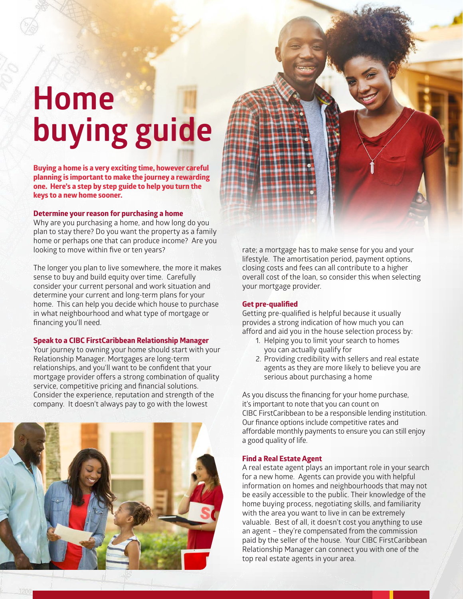# **Home buying guide**

**Buying a home is a very exciting time, however careful planning is important to make the journey a rewarding one. Here's a step by step guide to help you turn the keys to a new home sooner.**

### **Determine your reason for purchasing a home**

Why are you purchasing a home, and how long do you plan to stay there? Do you want the property as a family home or perhaps one that can produce income? Are you looking to move within five or ten years?

The longer you plan to live somewhere, the more it makes sense to buy and build equity over time. Carefully consider your current personal and work situation and determine your current and long-term plans for your home. This can help you decide which house to purchase in what neighbourhood and what type of mortgage or financing you'll need.

# **Speak to a CIBC FirstCaribbean Relationship Manager**

Your journey to owning your home should start with your Relationship Manager. Mortgages are long-term relationships, and you'll want to be confident that your mortgage provider offers a strong combination of quality service, competitive pricing and financial solutions. Consider the experience, reputation and strength of the company. It doesn't always pay to go with the lowest



rate; a mortgage has to make sense for you and your lifestyle. The amortisation period, payment options, closing costs and fees can all contribute to a higher overall cost of the loan, so consider this when selecting your mortgage provider.

#### **Get pre-qualified**

Getting pre-qualified is helpful because it usually provides a strong indication of how much you can afford and aid you in the house selection process by:

- 1. Helping you to limit your search to homes you can actually qualify for
- 2. Providing credibility with sellers and real estate agents as they are more likely to believe you are serious about purchasing a home

As you discuss the financing for your home purchase, it's important to note that you can count on CIBC FirstCaribbean to be a responsible lending institution. Our finance options include competitive rates and affordable monthly payments to ensure you can still enjoy a good quality of life.

#### **Find a Real Estate Agent**

A real estate agent plays an important role in your search for a new home. Agents can provide you with helpful information on homes and neighbourhoods that may not be easily accessible to the public. Their knowledge of the home buying process, negotiating skills, and familiarity with the area you want to live in can be extremely valuable. Best of all, it doesn't cost you anything to use an agent – they're compensated from the commission paid by the seller of the house. Your CIBC FirstCaribbean Relationship Manager can connect you with one of the top real estate agents in your area.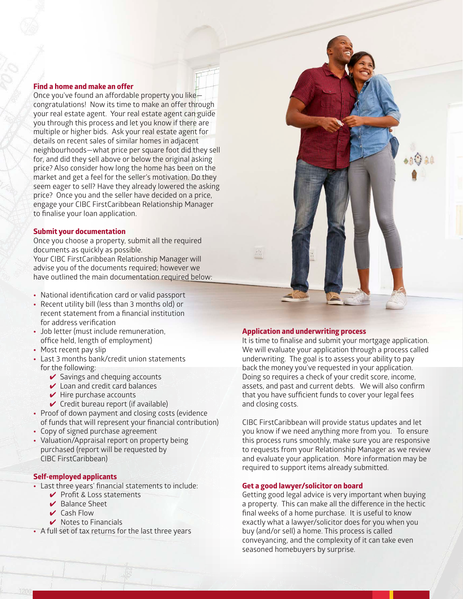#### **Find a home and make an offer**

Once you've found an affordable property you like congratulations! Now its time to make an offer through your real estate agent. Your real estate agent can guide you through this process and let you know if there are multiple or higher bids. Ask your real estate agent for details on recent sales of similar homes in adjacent neighbourhoods—what price per square foot did they sell for, and did they sell above or below the original asking price? Also consider how long the home has been on the market and get a feel for the seller's motivation. Do they seem eager to sell? Have they already lowered the asking price? Once you and the seller have decided on a price, engage your CIBC FirstCaribbean Relationship Manager to finalise your loan application.

#### **Submit your documentation**

Once you choose a property, submit all the required documents as quickly as possible.

Your CIBC FirstCaribbean Relationship Manager will advise you of the documents required; however we have outlined the main documentation required below:

- **•** National identification card or valid passport
- **•** Recent utility bill (less than 3 months old) or recent statement from a financial institution for address verification
- **•** Job letter (must include remuneration, office held, length of employment)
- **•** Most recent pay slip
- **•** Last 3 months bank/credit union statements for the following:
	- $\checkmark$  Savings and chequing accounts
	- $\vee$  Loan and credit card balances
	- $\blacktriangleright$  Hire purchase accounts
	- $\checkmark$  Credit bureau report (if available)
- **•** Proof of down payment and closing costs (evidence of funds that will represent your financial contribution)
- **•** Copy of signed purchase agreement
- **•** Valuation/Appraisal report on property being purchased (report will be requested by CIBC FirstCaribbean)

#### **Self-employed applicants**

- **•** Last three years' financial statements to include:
	- ✔ Profit & Loss statements
	- ✔ Balance Sheet
	- ✔ Cash Flow
	- $\vee$  Notes to Financials
- **•** A full set of tax returns for the last three years

#### **Application and underwriting process**

It is time to finalise and submit your mortgage application. We will evaluate your application through a process called underwriting. The goal is to assess your ability to pay back the money you've requested in your application. Doing so requires a check of your credit score, income, assets, and past and current debts. We will also confirm that you have sufficient funds to cover your legal fees and closing costs.

CIBC FirstCaribbean will provide status updates and let you know if we need anything more from you. To ensure this process runs smoothly, make sure you are responsive to requests from your Relationship Manager as we review and evaluate your application. More information may be required to support items already submitted.

#### **Get a good lawyer/solicitor on board**

Getting good legal advice is very important when buying a property. This can make all the difference in the hectic final weeks of a home purchase. It is useful to know exactly what a lawyer/solicitor does for you when you buy (and/or sell) a home. This process is called conveyancing, and the complexity of it can take even seasoned homebuyers by surprise.